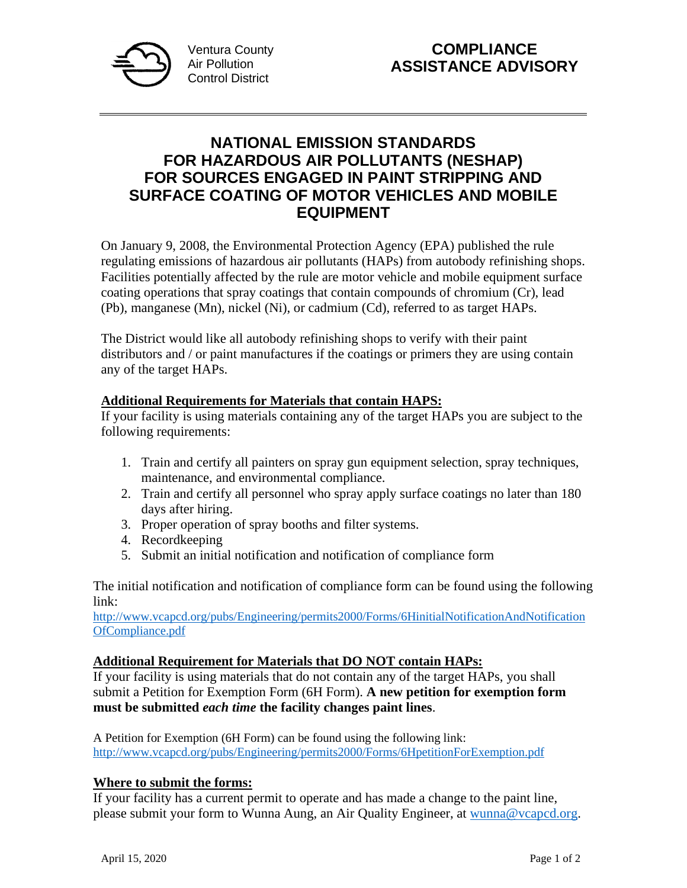

## **NATIONAL EMISSION STANDARDS FOR HAZARDOUS AIR POLLUTANTS (NESHAP) FOR SOURCES ENGAGED IN PAINT STRIPPING AND SURFACE COATING OF MOTOR VEHICLES AND MOBILE EQUIPMENT**

On January 9, 2008, the Environmental Protection Agency (EPA) published the rule regulating emissions of hazardous air pollutants (HAPs) from autobody refinishing shops. Facilities potentially affected by the rule are motor vehicle and mobile equipment surface coating operations that spray coatings that contain compounds of chromium (Cr), lead (Pb), manganese (Mn), nickel (Ni), or cadmium (Cd), referred to as target HAPs.

The District would like all autobody refinishing shops to verify with their paint distributors and / or paint manufactures if the coatings or primers they are using contain any of the target HAPs.

## **Additional Requirements for Materials that contain HAPS:**

If your facility is using materials containing any of the target HAPs you are subject to the following requirements:

- 1. Train and certify all painters on spray gun equipment selection, spray techniques, maintenance, and environmental compliance.
- 2. Train and certify all personnel who spray apply surface coatings no later than 180 days after hiring.
- 3. Proper operation of spray booths and filter systems.
- 4. Recordkeeping
- 5. Submit an initial notification and notification of compliance form

The initial notification and notification of compliance form can be found using the following link:

[http://www.vcapcd.org/pubs/Engineering/permits2000/Forms/6HinitialNotificationAndNotification](http://www.vcapcd.org/pubs/Engineering/permits2000/Forms/6HinitialNotificationAndNotificationOfCompliance.pdf) [OfCompliance.pdf](http://www.vcapcd.org/pubs/Engineering/permits2000/Forms/6HinitialNotificationAndNotificationOfCompliance.pdf)

## **Additional Requirement for Materials that DO NOT contain HAPs:**

If your facility is using materials that do not contain any of the target HAPs, you shall submit a Petition for Exemption Form (6H Form). **A new petition for exemption form must be submitted** *each time* **the facility changes paint lines**.

A Petition for Exemption (6H Form) can be found using the following link: <http://www.vcapcd.org/pubs/Engineering/permits2000/Forms/6HpetitionForExemption.pdf>

## **Where to submit the forms:**

If your facility has a current permit to operate and has made a change to the paint line, please submit your form to Wunna Aung, an Air Quality Engineer, at [wunna@vcapcd.org.](mailto:wunna@vcapcd.org)